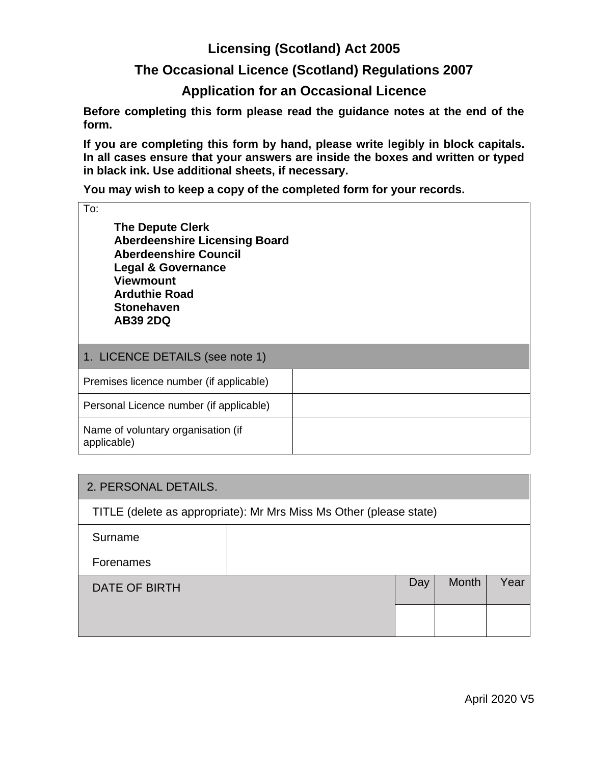# **Licensing (Scotland) Act 2005**

## **The Occasional Licence (Scotland) Regulations 2007**

## **Application for an Occasional Licence**

**Before completing this form please read the guidance notes at the end of the form.**

**If you are completing this form by hand, please write legibly in block capitals. In all cases ensure that your answers are inside the boxes and written or typed in black ink. Use additional sheets, if necessary.** 

**You may wish to keep a copy of the completed form for your records.**

To:

**The Depute Clerk Aberdeenshire Licensing Board Aberdeenshire Council Legal & Governance Viewmount Arduthie Road Stonehaven AB39 2DQ**

| 1. LICENCE DETAILS (see note 1)                   |  |
|---------------------------------------------------|--|
| Premises licence number (if applicable)           |  |
| Personal Licence number (if applicable)           |  |
| Name of voluntary organisation (if<br>applicable) |  |

| 2. PERSONAL DETAILS.                                               |  |     |       |      |
|--------------------------------------------------------------------|--|-----|-------|------|
| TITLE (delete as appropriate): Mr Mrs Miss Ms Other (please state) |  |     |       |      |
| Surname                                                            |  |     |       |      |
| Forenames                                                          |  |     |       |      |
| DATE OF BIRTH                                                      |  | Day | Month | Year |
|                                                                    |  |     |       |      |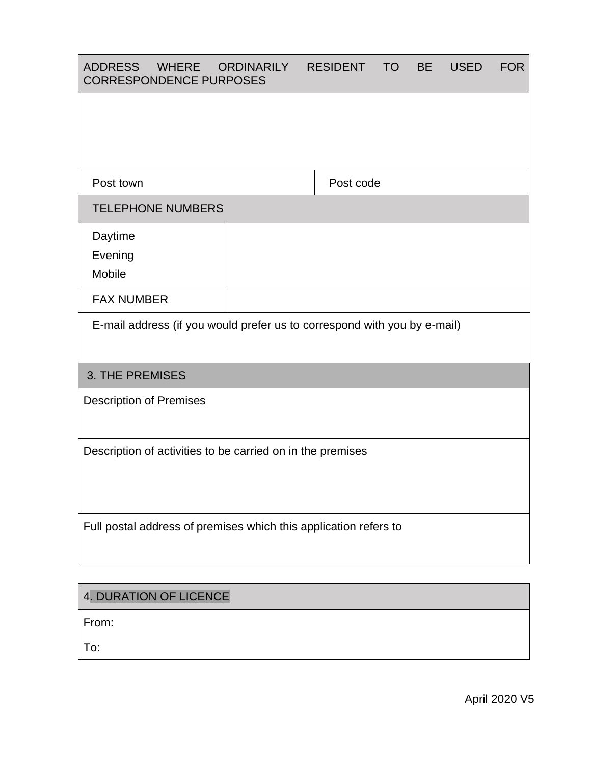| <b>ADDRESS</b><br><b>WHERE</b><br><b>CORRESPONDENCE PURPOSES</b>         | ORDINARILY | <b>RESIDENT</b> | <b>TO</b> | <b>BE</b> | <b>USED</b> | <b>FOR</b> |
|--------------------------------------------------------------------------|------------|-----------------|-----------|-----------|-------------|------------|
|                                                                          |            |                 |           |           |             |            |
|                                                                          |            |                 |           |           |             |            |
| Post town                                                                |            | Post code       |           |           |             |            |
| <b>TELEPHONE NUMBERS</b>                                                 |            |                 |           |           |             |            |
| Daytime<br>Evening<br>Mobile                                             |            |                 |           |           |             |            |
| <b>FAX NUMBER</b>                                                        |            |                 |           |           |             |            |
| E-mail address (if you would prefer us to correspond with you by e-mail) |            |                 |           |           |             |            |
| <b>3. THE PREMISES</b>                                                   |            |                 |           |           |             |            |
| <b>Description of Premises</b>                                           |            |                 |           |           |             |            |
| Description of activities to be carried on in the premises               |            |                 |           |           |             |            |
| Full postal address of premises which this application refers to         |            |                 |           |           |             |            |

# 4. DURATION OF LICENCE

From:

To: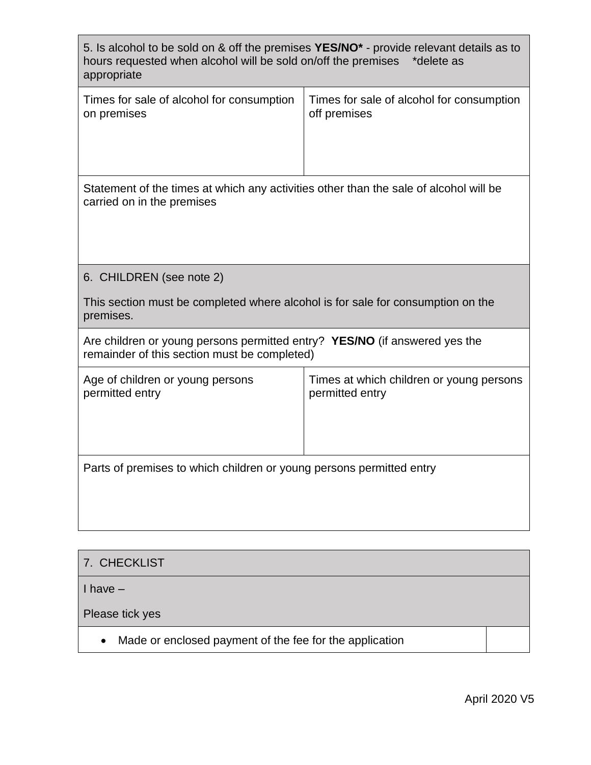| 5. Is alcohol to be sold on & off the premises YES/NO <sup>*</sup> - provide relevant details as to<br>hours requested when alcohol will be sold on/off the premises *delete as<br>appropriate |                                                             |  |  |  |
|------------------------------------------------------------------------------------------------------------------------------------------------------------------------------------------------|-------------------------------------------------------------|--|--|--|
| Times for sale of alcohol for consumption<br>on premises                                                                                                                                       | Times for sale of alcohol for consumption<br>off premises   |  |  |  |
| Statement of the times at which any activities other than the sale of alcohol will be<br>carried on in the premises                                                                            |                                                             |  |  |  |
| 6. CHILDREN (see note 2)                                                                                                                                                                       |                                                             |  |  |  |
| This section must be completed where alcohol is for sale for consumption on the<br>premises.                                                                                                   |                                                             |  |  |  |
| Are children or young persons permitted entry? YES/NO (if answered yes the<br>remainder of this section must be completed)                                                                     |                                                             |  |  |  |
| Age of children or young persons<br>permitted entry                                                                                                                                            | Times at which children or young persons<br>permitted entry |  |  |  |
| Parts of premises to which children or young persons permitted entry                                                                                                                           |                                                             |  |  |  |

| 7. CHECKLIST                                                         |  |
|----------------------------------------------------------------------|--|
| I have –                                                             |  |
| Please tick yes                                                      |  |
| Made or enclosed payment of the fee for the application<br>$\bullet$ |  |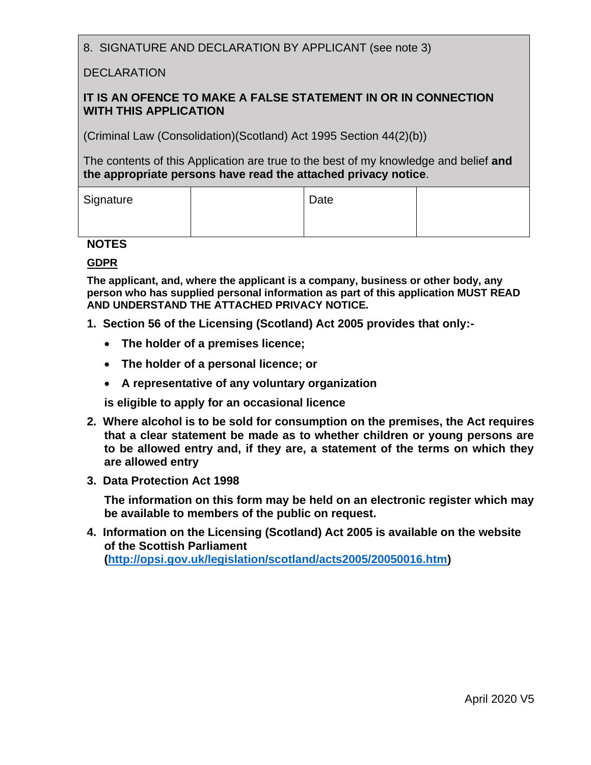8. SIGNATURE AND DECLARATION BY APPLICANT (see note 3)

#### DECLARATION

#### **IT IS AN OFENCE TO MAKE A FALSE STATEMENT IN OR IN CONNECTION WITH THIS APPLICATION**

(Criminal Law (Consolidation)(Scotland) Act 1995 Section 44(2)(b))

The contents of this Application are true to the best of my knowledge and belief **and the appropriate persons have read the attached privacy notice**.

| Signature | Date |  |
|-----------|------|--|
|           |      |  |

#### **NOTES**

#### **GDPR**

**The applicant, and, where the applicant is a company, business or other body, any person who has supplied personal information as part of this application MUST READ AND UNDERSTAND THE ATTACHED PRIVACY NOTICE.**

- **1. Section 56 of the Licensing (Scotland) Act 2005 provides that only:-**
	- **The holder of a premises licence;**
	- **The holder of a personal licence; or**
	- **A representative of any voluntary organization**

**is eligible to apply for an occasional licence**

- **2. Where alcohol is to be sold for consumption on the premises, the Act requires that a clear statement be made as to whether children or young persons are to be allowed entry and, if they are, a statement of the terms on which they are allowed entry**
- **3. Data Protection Act 1998**

**The information on this form may be held on an electronic register which may be available to members of the public on request.**

**4. Information on the Licensing (Scotland) Act 2005 is available on the website of the Scottish Parliament [\(http://opsi.gov.uk/legislation/scotland/acts2005/20050016.htm\)](http://opsi.gov.uk/legislation/scotland/acts2005/20050016.htm)**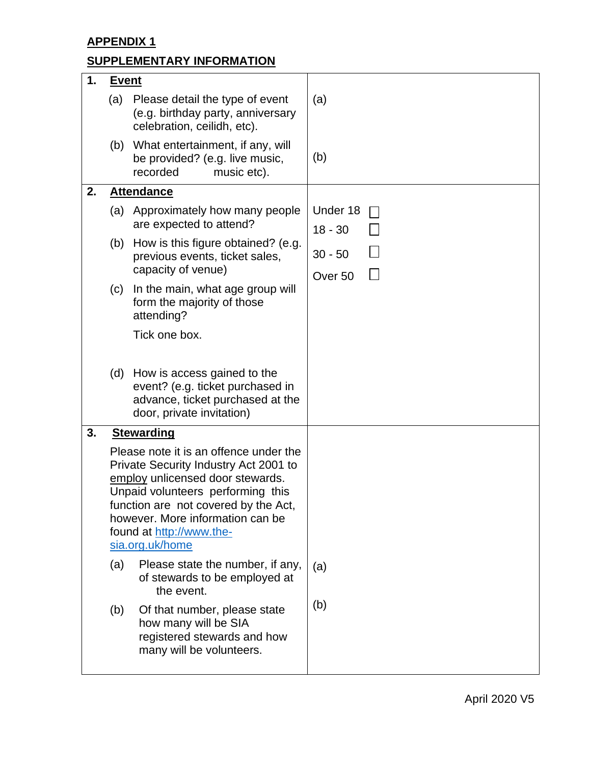**APPENDIX 1**

# **SUPPLEMENTARY INFORMATION**

| 1. | <u>Event</u>                                                                                                                                                                                                                                                                        |                                                                                                                                  |                                 |
|----|-------------------------------------------------------------------------------------------------------------------------------------------------------------------------------------------------------------------------------------------------------------------------------------|----------------------------------------------------------------------------------------------------------------------------------|---------------------------------|
|    | (a)                                                                                                                                                                                                                                                                                 | Please detail the type of event<br>(e.g. birthday party, anniversary<br>celebration, ceilidh, etc).                              | (a)                             |
|    | (b)                                                                                                                                                                                                                                                                                 | What entertainment, if any, will<br>be provided? (e.g. live music,<br>recorded<br>music etc).                                    | (b)                             |
| 2. |                                                                                                                                                                                                                                                                                     | <b>Attendance</b>                                                                                                                |                                 |
|    | (a)                                                                                                                                                                                                                                                                                 | Approximately how many people<br>are expected to attend?                                                                         | Under 18<br>$18 - 30$           |
|    | (b)                                                                                                                                                                                                                                                                                 | How is this figure obtained? (e.g.<br>previous events, ticket sales,<br>capacity of venue)                                       | $30 - 50$<br>Over <sub>50</sub> |
|    | (c)                                                                                                                                                                                                                                                                                 | In the main, what age group will<br>form the majority of those<br>attending?                                                     |                                 |
|    |                                                                                                                                                                                                                                                                                     | Tick one box.                                                                                                                    |                                 |
|    | (d)                                                                                                                                                                                                                                                                                 | How is access gained to the<br>event? (e.g. ticket purchased in<br>advance, ticket purchased at the<br>door, private invitation) |                                 |
| 3. |                                                                                                                                                                                                                                                                                     | <b>Stewarding</b>                                                                                                                |                                 |
|    | Please note it is an offence under the<br>Private Security Industry Act 2001 to<br>employ unlicensed door stewards.<br>Unpaid volunteers performing this<br>function are not covered by the Act,<br>however. More information can be<br>found at http://www.the-<br>sia.org.uk/home |                                                                                                                                  |                                 |
|    | (a)                                                                                                                                                                                                                                                                                 | Please state the number, if any,<br>of stewards to be employed at<br>the event.                                                  | (a)                             |
|    | (b)                                                                                                                                                                                                                                                                                 | Of that number, please state<br>how many will be SIA<br>registered stewards and how<br>many will be volunteers.                  | (b)                             |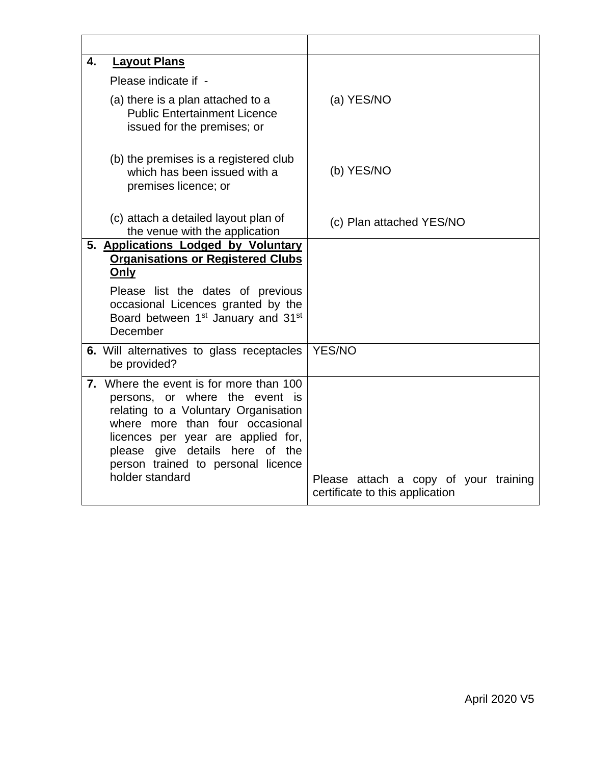| 4. | <b>Layout Plans</b>                                                                                                                                                                                                                                                                    |                                                                          |
|----|----------------------------------------------------------------------------------------------------------------------------------------------------------------------------------------------------------------------------------------------------------------------------------------|--------------------------------------------------------------------------|
|    | Please indicate if -                                                                                                                                                                                                                                                                   |                                                                          |
|    | (a) there is a plan attached to a<br><b>Public Entertainment Licence</b><br>issued for the premises; or                                                                                                                                                                                | (a) YES/NO                                                               |
|    | (b) the premises is a registered club<br>which has been issued with a<br>premises licence; or                                                                                                                                                                                          | (b) YES/NO                                                               |
|    | (c) attach a detailed layout plan of<br>the venue with the application                                                                                                                                                                                                                 | (c) Plan attached YES/NO                                                 |
|    | 5. Applications Lodged by Voluntary                                                                                                                                                                                                                                                    |                                                                          |
|    | <b>Organisations or Registered Clubs</b><br>Only                                                                                                                                                                                                                                       |                                                                          |
|    | Please list the dates of previous<br>occasional Licences granted by the<br>Board between 1 <sup>st</sup> January and 31 <sup>st</sup><br>December                                                                                                                                      |                                                                          |
|    | 6. Will alternatives to glass receptacles<br>be provided?                                                                                                                                                                                                                              | <b>YES/NO</b>                                                            |
|    | 7. Where the event is for more than 100<br>persons, or where the event is<br>relating to a Voluntary Organisation<br>where more than four occasional<br>licences per year are applied for,<br>please give details here of the<br>person trained to personal licence<br>holder standard | Please attach a copy of your training<br>certificate to this application |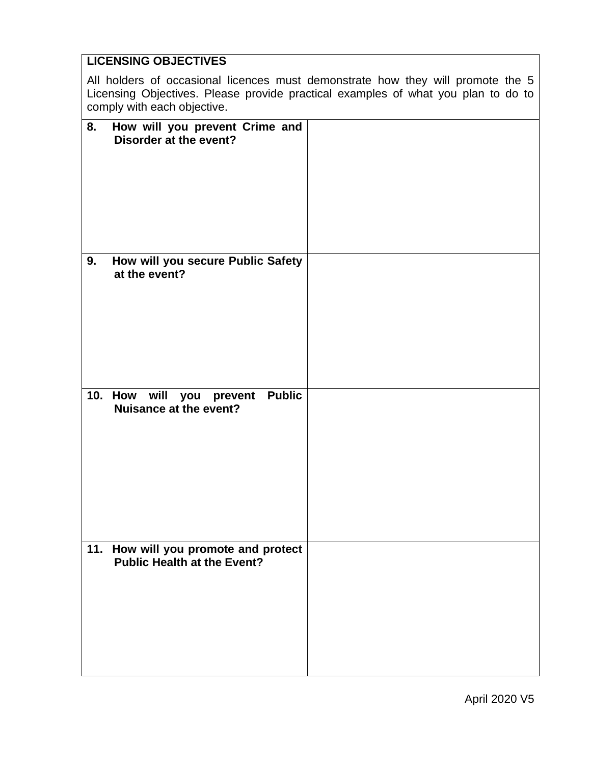# **LICENSING OBJECTIVES**  All holders of occasional licences must demonstrate how they will promote the 5 Licensing Objectives. Please provide practical examples of what you plan to do to comply with each objective. **8. How will you prevent Crime and Disorder at the event? 9. How will you secure Public Safety at the event? 10. How will you prevent Public Nuisance at the event? 11. How will you promote and protect Public Health at the Event?**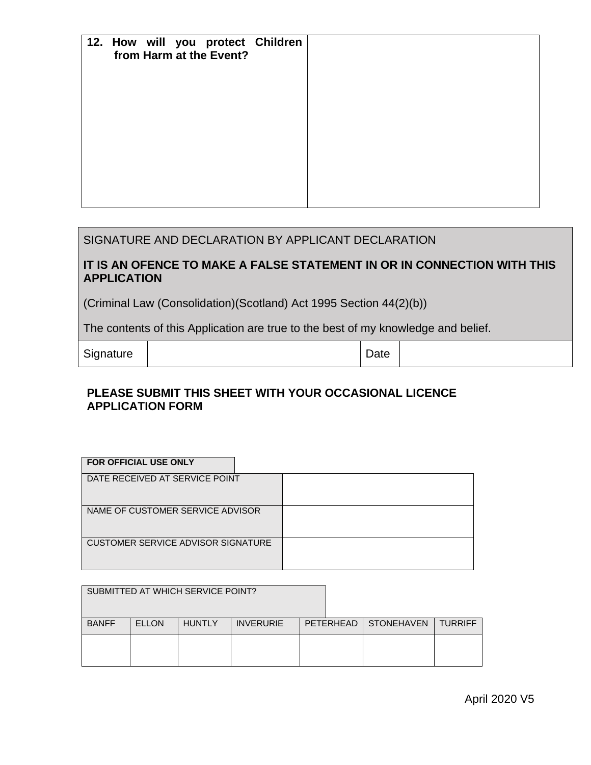| 12. How will you protect Children<br>from Harm at the Event? |  |  |
|--------------------------------------------------------------|--|--|
|                                                              |  |  |
|                                                              |  |  |
|                                                              |  |  |
|                                                              |  |  |

#### SIGNATURE AND DECLARATION BY APPLICANT DECLARATION

#### **IT IS AN OFENCE TO MAKE A FALSE STATEMENT IN OR IN CONNECTION WITH THIS APPLICATION**

(Criminal Law (Consolidation)(Scotland) Act 1995 Section 44(2)(b))

The contents of this Application are true to the best of my knowledge and belief.

Signature | Date

#### **PLEASE SUBMIT THIS SHEET WITH YOUR OCCASIONAL LICENCE APPLICATION FORM**

| <b>FOR OFFICIAL USE ONLY</b>       |  |
|------------------------------------|--|
| DATE RECEIVED AT SERVICE POINT     |  |
| NAME OF CUSTOMER SERVICE ADVISOR   |  |
| CUSTOMER SERVICE ADVISOR SIGNATURE |  |

|              |              | SUBMITTED AT WHICH SERVICE POINT? |                  |                        |                |
|--------------|--------------|-----------------------------------|------------------|------------------------|----------------|
| <b>BANFF</b> | <b>ELLON</b> | <b>HUNTLY</b>                     | <b>INVERURIE</b> | PETERHEAD   STONEHAVEN | <b>TURRIFF</b> |
|              |              |                                   |                  |                        |                |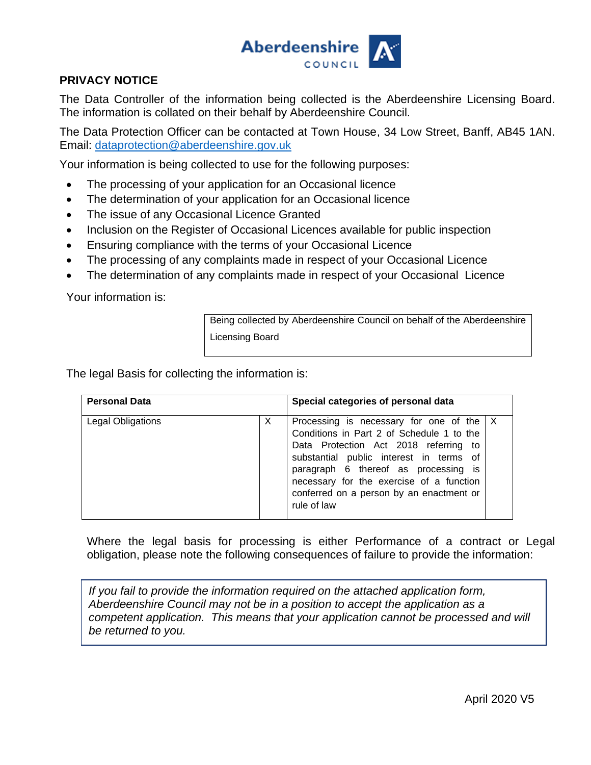

#### **PRIVACY NOTICE**

The Data Controller of the information being collected is the Aberdeenshire Licensing Board. The information is collated on their behalf by Aberdeenshire Council.

The Data Protection Officer can be contacted at Town House, 34 Low Street, Banff, AB45 1AN. Email: [dataprotection@aberdeenshire.gov.uk](mailto:dataprotection@aberdeenshire.gov.uk)

Your information is being collected to use for the following purposes:

- The processing of your application for an Occasional licence
- The determination of your application for an Occasional licence
- The issue of any Occasional Licence Granted
- Inclusion on the Register of Occasional Licences available for public inspection
- Ensuring compliance with the terms of your Occasional Licence
- The processing of any complaints made in respect of your Occasional Licence
- The determination of any complaints made in respect of your Occasional Licence

Your information is:

Being collected by Aberdeenshire Council on behalf of the Aberdeenshire Licensing Board

The legal Basis for collecting the information is:

| <b>Personal Data</b> |   | Special categories of personal data                                                                                                                                                                                                                                                                                          |  |
|----------------------|---|------------------------------------------------------------------------------------------------------------------------------------------------------------------------------------------------------------------------------------------------------------------------------------------------------------------------------|--|
| Legal Obligations    | X | Processing is necessary for one of the $ X $<br>Conditions in Part 2 of Schedule 1 to the<br>Data Protection Act 2018 referring to<br>substantial public interest in terms of<br>paragraph 6 thereof as processing is<br>necessary for the exercise of a function<br>conferred on a person by an enactment or<br>rule of law |  |

Where the legal basis for processing is either Performance of a contract or Legal obligation, please note the following consequences of failure to provide the information:

*If you fail to provide the information required on the attached application form, Aberdeenshire Council may not be in a position to accept the application as a competent application. This means that your application cannot be processed and will be returned to you.*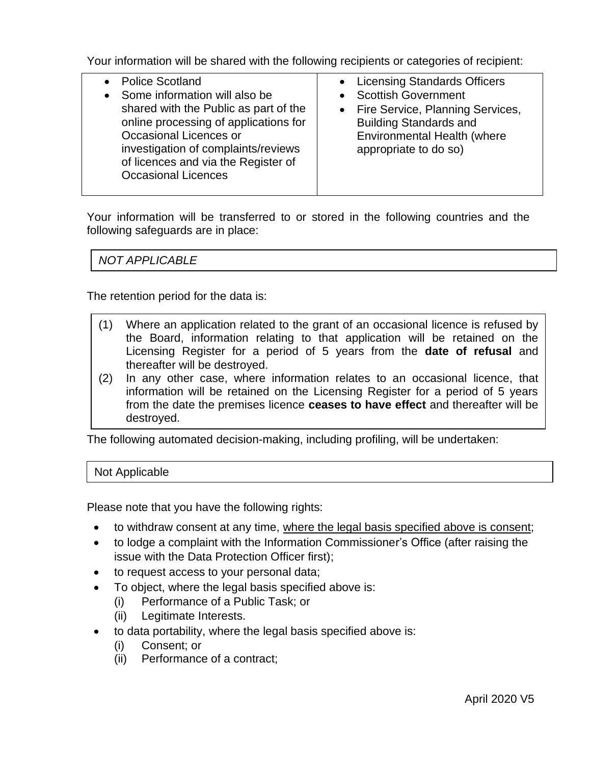Your information will be shared with the following recipients or categories of recipient:

| • Police Scotland<br>Some information will also be<br>shared with the Public as part of the<br>online processing of applications for<br>Occasional Licences or<br>investigation of complaints/reviews<br>of licences and via the Register of<br><b>Occasional Licences</b> | • Licensing Standards Officers<br><b>Scottish Government</b><br>Fire Service, Planning Services,<br><b>Building Standards and</b><br>Environmental Health (where<br>appropriate to do so) |
|----------------------------------------------------------------------------------------------------------------------------------------------------------------------------------------------------------------------------------------------------------------------------|-------------------------------------------------------------------------------------------------------------------------------------------------------------------------------------------|
|                                                                                                                                                                                                                                                                            |                                                                                                                                                                                           |
|                                                                                                                                                                                                                                                                            |                                                                                                                                                                                           |

Your information will be transferred to or stored in the following countries and the following safeguards are in place:

*NOT APPLICABLE*

The retention period for the data is:

- (1) Where an application related to the grant of an occasional licence is refused by the Board, information relating to that application will be retained on the Licensing Register for a period of 5 years from the **date of refusal** and thereafter will be destroyed.
- (2) In any other case, where information relates to an occasional licence, that information will be retained on the Licensing Register for a period of 5 years from the date the premises licence **ceases to have effect** and thereafter will be destroyed.

The following automated decision-making, including profiling, will be undertaken:

Not Applicable

Please note that you have the following rights:

- to withdraw consent at any time, where the legal basis specified above is consent;
- to lodge a complaint with the Information Commissioner's Office (after raising the issue with the Data Protection Officer first);
- to request access to your personal data;
- To object, where the legal basis specified above is:
	- (i) Performance of a Public Task; or
		- (ii) Legitimate Interests.
- to data portability, where the legal basis specified above is:
	- (i) Consent; or
	- (ii) Performance of a contract;